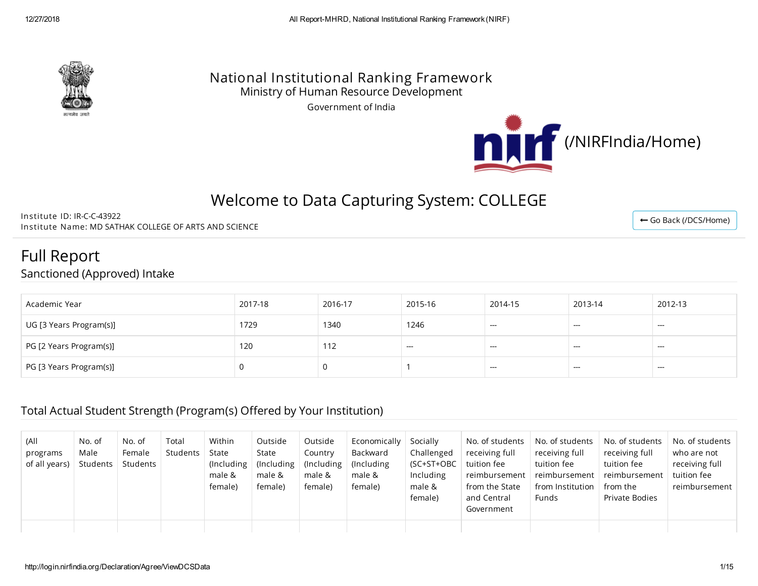

### National Institutional Ranking Framework Ministry of Human Resource Development

Government of India



# Welcome to Data Capturing System: COLLEGE

Institute ID: IR-C-C-43922 Institute Name: MD SATHAK COLLEGE OF ARTS AND SCIENCE

Full Report

Sanctioned (Approved) Intake

| Academic Year           | 2017-18 | 2016-17 | 2015-16 | 2014-15                  | 2013-14                | 2012-13 |
|-------------------------|---------|---------|---------|--------------------------|------------------------|---------|
| UG [3 Years Program(s)] | 1729    | 1340    | 1246    | $\overline{\phantom{a}}$ | $\qquad \qquad \cdots$ | ---     |
| PG [2 Years Program(s)] | 120     | 112     | $--$    | ---                      | $- - -$                | ---     |
| PG [3 Years Program(s)] |         |         |         | $- - -$                  | ---                    | ---     |

#### Total Actual Student Strength (Program(s) Offered by Your Institution)

| (A  <br>programs<br>of all years) | No. of<br>Male<br>Students | No. of<br>Female<br>Students | Total<br>Students | Within<br>State<br>(Including<br>male &<br>female) | Outside<br>State<br>$($ Including<br>male &<br>female) | Outside<br>Country<br>$($ lncluding<br>male &<br>female) | Economically<br>Backward<br>(Including)<br>male &<br>female) | Socially<br>Challenged<br>(SC+ST+OBC<br>Including<br>male &<br>female) | No. of students<br>receiving full<br>tuition fee<br>reimbursement '<br>from the State<br>and Central<br>Government | No. of students<br>receiving full<br>tuition fee<br>reimbursement<br>from Institution<br>Funds | No. of students<br>receiving full<br>tuition fee<br>reimbursement<br>from the<br>Private Bodies | No. of students<br>who are not<br>receiving full<br>tuition fee<br>reimbursement |
|-----------------------------------|----------------------------|------------------------------|-------------------|----------------------------------------------------|--------------------------------------------------------|----------------------------------------------------------|--------------------------------------------------------------|------------------------------------------------------------------------|--------------------------------------------------------------------------------------------------------------------|------------------------------------------------------------------------------------------------|-------------------------------------------------------------------------------------------------|----------------------------------------------------------------------------------|
|                                   |                            |                              |                   |                                                    |                                                        |                                                          |                                                              |                                                                        |                                                                                                                    |                                                                                                |                                                                                                 |                                                                                  |

← Go Back [\(/DCS/Home\)](http://login.nirfindia.org/DCS/Home)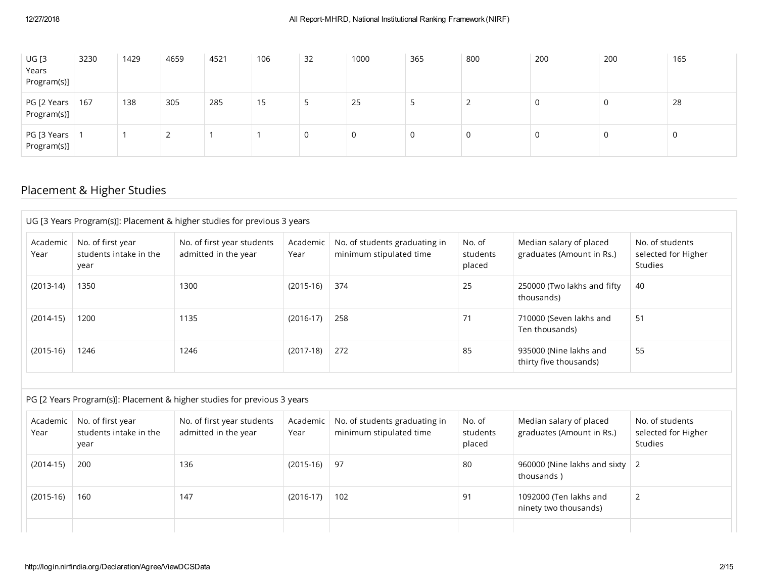| <b>UG [3</b><br>Years<br>Program(s)] | 3230 | 1429 | 4659 | 4521 | 106 | 32 | 1000 | 365 | 800 | 200 | 200 | 165 |
|--------------------------------------|------|------|------|------|-----|----|------|-----|-----|-----|-----|-----|
| PG [2 Years<br>Program(s)]           | 167  | 138  | 305  | 285  | 15  |    | 25   | - 2 |     | U   | 0   | 28  |
| PG [3 Years<br>Program(s)]           |      |      |      |      |     |    | 0    | 0   | 0   |     | 0   | U   |

## Placement & Higher Studies

|                  |                                                     | UG [3 Years Program(s)]: Placement & higher studies for previous 3 years |                  |                                                          |                              |                                                      |                                                   |
|------------------|-----------------------------------------------------|--------------------------------------------------------------------------|------------------|----------------------------------------------------------|------------------------------|------------------------------------------------------|---------------------------------------------------|
| Academic<br>Year | No. of first year<br>students intake in the<br>year | No. of first year students<br>admitted in the year                       | Academic<br>Year | No. of students graduating in<br>minimum stipulated time | No. of<br>students<br>placed | Median salary of placed<br>graduates (Amount in Rs.) | No. of students<br>selected for Higher<br>Studies |
| $(2013-14)$      | 1350                                                | 1300                                                                     | $(2015-16)$      | 374                                                      | 25                           | 250000 (Two lakhs and fifty<br>thousands)            | 40                                                |
| $(2014-15)$      | 1200                                                | 1135                                                                     | $(2016-17)$      | 258                                                      | 71                           | 710000 (Seven lakhs and<br>Ten thousands)            | 51                                                |
| $(2015-16)$      | 1246                                                | 1246                                                                     | $(2017-18)$      | 272                                                      | 85                           | 935000 (Nine lakhs and<br>thirty five thousands)     | 55                                                |
|                  |                                                     | PG [2 Years Program(s)]: Placement & higher studies for previous 3 years |                  |                                                          |                              |                                                      |                                                   |
|                  |                                                     |                                                                          |                  |                                                          |                              |                                                      |                                                   |
| Academic<br>Year | No. of first year<br>students intake in the<br>year | No. of first year students<br>admitted in the year                       | Academic<br>Year | No. of students graduating in<br>minimum stipulated time | No. of<br>students<br>placed | Median salary of placed<br>graduates (Amount in Rs.) | No. of students<br>selected for Higher<br>Studies |
|                  | 200                                                 | 136                                                                      | $(2015-16)$      | 97                                                       | 80                           | 960000 (Nine lakhs and sixty<br>thousands)           | 2                                                 |
| $(2014-15)$      |                                                     |                                                                          |                  |                                                          |                              |                                                      |                                                   |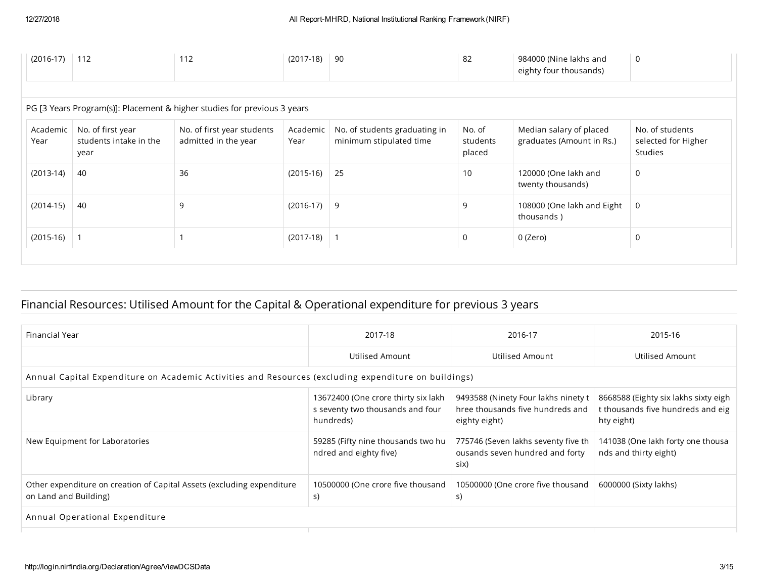| $(2016-17)$ 112  |                                                     | 112                                                                      | $(2017-18)$      | 90                                                       | 82                           | 984000 (Nine lakhs and<br>eighty four thousands)     | 0                                                 |
|------------------|-----------------------------------------------------|--------------------------------------------------------------------------|------------------|----------------------------------------------------------|------------------------------|------------------------------------------------------|---------------------------------------------------|
|                  |                                                     | PG [3 Years Program(s)]: Placement & higher studies for previous 3 years |                  |                                                          |                              |                                                      |                                                   |
| Academic<br>Year | No. of first year<br>students intake in the<br>year | No. of first year students<br>admitted in the year                       | Academic<br>Year | No. of students graduating in<br>minimum stipulated time | No. of<br>students<br>placed | Median salary of placed<br>graduates (Amount in Rs.) | No. of students<br>selected for Higher<br>Studies |
| $(2013-14)$      | 40                                                  | 36                                                                       | $(2015-16)$      | 25                                                       | 10                           | 120000 (One lakh and<br>twenty thousands)            | 0                                                 |
| $(2014-15)$      | 40                                                  | 9                                                                        | $(2016-17)$      | -9                                                       | 9                            | 108000 (One lakh and Eight<br>thousands)             | 0                                                 |
| $(2015-16)$   1  |                                                     |                                                                          | $(2017-18)$ 1    |                                                          | 0                            | 0 (Zero)                                             | 0                                                 |

# Financial Resources: Utilised Amount for the Capital & Operational expenditure for previous 3 years

| Financial Year                                                                                       | 2017-18                                                                              | 2016-17                                                                                  | 2015-16                                                                                 |
|------------------------------------------------------------------------------------------------------|--------------------------------------------------------------------------------------|------------------------------------------------------------------------------------------|-----------------------------------------------------------------------------------------|
|                                                                                                      | Utilised Amount                                                                      | Utilised Amount                                                                          | Utilised Amount                                                                         |
| Annual Capital Expenditure on Academic Activities and Resources (excluding expenditure on buildings) |                                                                                      |                                                                                          |                                                                                         |
| Library                                                                                              | 13672400 (One crore thirty six lakh<br>s seventy two thousands and four<br>hundreds) | 9493588 (Ninety Four lakhs ninety t<br>hree thousands five hundreds and<br>eighty eight) | 8668588 (Eighty six lakhs sixty eigh<br>t thousands five hundreds and eig<br>hty eight) |
| New Equipment for Laboratories                                                                       | 59285 (Fifty nine thousands two hu<br>ndred and eighty five)                         | 775746 (Seven lakhs seventy five th<br>ousands seven hundred and forty<br>six)           | 141038 (One lakh forty one thousa<br>nds and thirty eight)                              |
| Other expenditure on creation of Capital Assets (excluding expenditure<br>on Land and Building)      | 10500000 (One crore five thousand<br>S)                                              | 10500000 (One crore five thousand<br>S)                                                  | 6000000 (Sixty lakhs)                                                                   |
| Annual Operational Expenditure                                                                       |                                                                                      |                                                                                          |                                                                                         |
|                                                                                                      |                                                                                      |                                                                                          |                                                                                         |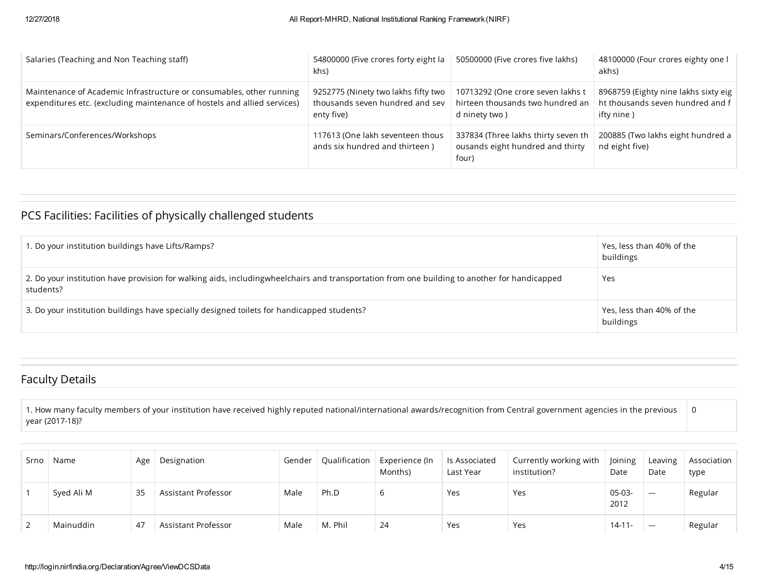| Salaries (Teaching and Non Teaching staff)                                                                                                       | 54800000 (Five crores forty eight la<br>khs)                                         | 50500000 (Five crores five lakhs)                                                      | 48100000 (Four crores eighty one I<br>akhs)                                            |
|--------------------------------------------------------------------------------------------------------------------------------------------------|--------------------------------------------------------------------------------------|----------------------------------------------------------------------------------------|----------------------------------------------------------------------------------------|
| Maintenance of Academic Infrastructure or consumables, other running<br>expenditures etc. (excluding maintenance of hostels and allied services) | 9252775 (Ninety two lakhs fifty two<br>thousands seven hundred and sev<br>enty five) | 10713292 (One crore seven lakhs t<br>hirteen thousands two hundred an<br>d ninety two) | 8968759 (Eighty nine lakhs sixty eig<br>ht thousands seven hundred and f<br>ifty nine) |
| Seminars/Conferences/Workshops                                                                                                                   | 117613 (One lakh seventeen thous<br>ands six hundred and thirteen)                   | 337834 (Three lakhs thirty seven th<br>ousands eight hundred and thirty<br>four)       | 200885 (Two lakhs eight hundred a<br>nd eight five)                                    |

# PCS Facilities: Facilities of physically challenged students

| 1. Do your institution buildings have Lifts/Ramps?                                                                                                        | Yes, less than 40% of the<br>buildings |
|-----------------------------------------------------------------------------------------------------------------------------------------------------------|----------------------------------------|
| 2. Do your institution have provision for walking aids, includingwheelchairs and transportation from one building to another for handicapped<br>students? | Yes                                    |
| 3. Do your institution buildings have specially designed toilets for handicapped students?                                                                | Yes, less than 40% of the<br>buildings |

#### Faculty Details

1. How many faculty members of your institution have received highly reputed national/international awards/recognition from Central government agencies in the previous year (2017-18)? 0

| Srno | Name       | Age | Designation         | Gender | Qualification | Experience (In<br>Months) | ls Associated<br>Last Year | Currently working with<br>institution? | Joining<br>Date  | Leaving<br>Date          | Association<br>type |
|------|------------|-----|---------------------|--------|---------------|---------------------------|----------------------------|----------------------------------------|------------------|--------------------------|---------------------|
|      | Syed Ali M | 35  | Assistant Professor | Male   | Ph.D          | b                         | Yes                        | Yes                                    | $05-03-$<br>2012 | $\hspace{0.05cm} \ldots$ | Regular             |
|      | Mainuddin  | 47  | Assistant Professor | Male   | M. Phil       | 24                        | Yes                        | Yes                                    | $14 - 11 -$      | ---                      | Regular             |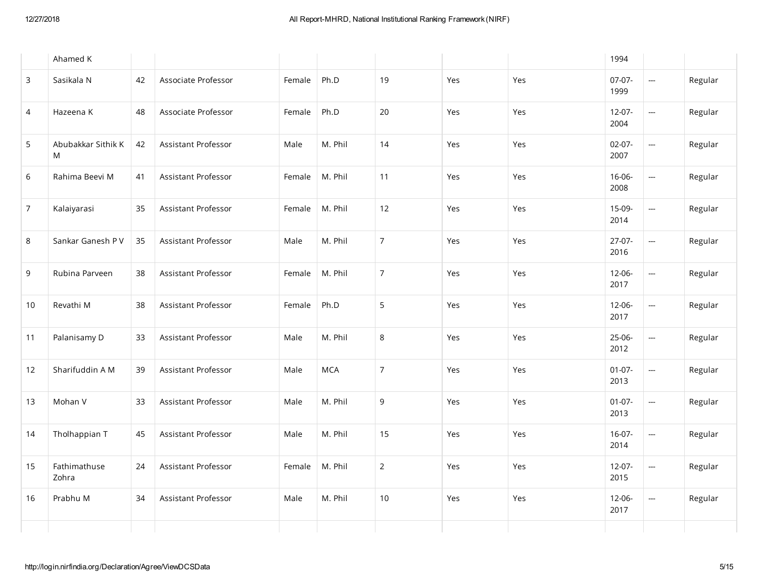|                | Ahamed K                |    |                     |        |            |                |     |     | 1994                |                          |         |
|----------------|-------------------------|----|---------------------|--------|------------|----------------|-----|-----|---------------------|--------------------------|---------|
| $\mathbf{3}$   | Sasikala N              | 42 | Associate Professor | Female | Ph.D       | 19             | Yes | Yes | $07-07-$<br>1999    | <u></u>                  | Regular |
| $\overline{4}$ | Hazeena K               | 48 | Associate Professor | Female | Ph.D       | 20             | Yes | Yes | $12-07-$<br>2004    | ---                      | Regular |
| 5              | Abubakkar Sithik K<br>M | 42 | Assistant Professor | Male   | M. Phil    | 14             | Yes | Yes | $02 - 07 -$<br>2007 | <u></u>                  | Regular |
| 6              | Rahima Beevi M          | 41 | Assistant Professor | Female | M. Phil    | 11             | Yes | Yes | $16 - 06 -$<br>2008 | $\hspace{0.05cm}$        | Regular |
| $\overline{7}$ | Kalaiyarasi             | 35 | Assistant Professor | Female | M. Phil    | 12             | Yes | Yes | $15-09-$<br>2014    | <u></u>                  | Regular |
| $\,8\,$        | Sankar Ganesh P V       | 35 | Assistant Professor | Male   | M. Phil    | $\overline{7}$ | Yes | Yes | $27-07-$<br>2016    | $\overline{\phantom{a}}$ | Regular |
| 9              | Rubina Parveen          | 38 | Assistant Professor | Female | M. Phil    | $\overline{7}$ | Yes | Yes | $12 - 06 -$<br>2017 | <u></u>                  | Regular |
| 10             | Revathi M               | 38 | Assistant Professor | Female | Ph.D       | 5              | Yes | Yes | $12 - 06 -$<br>2017 | $\overline{\phantom{a}}$ | Regular |
| 11             | Palanisamy D            | 33 | Assistant Professor | Male   | M. Phil    | 8              | Yes | Yes | 25-06-<br>2012      | $\overline{\phantom{m}}$ | Regular |
| 12             | Sharifuddin A M         | 39 | Assistant Professor | Male   | <b>MCA</b> | $\overline{7}$ | Yes | Yes | $01-07-$<br>2013    | <u></u>                  | Regular |
| 13             | Mohan V                 | 33 | Assistant Professor | Male   | M. Phil    | 9              | Yes | Yes | $01-07-$<br>2013    | <u></u>                  | Regular |
| 14             | Tholhappian T           | 45 | Assistant Professor | Male   | M. Phil    | 15             | Yes | Yes | $16-07-$<br>2014    | $\overline{\phantom{a}}$ | Regular |
| 15             | Fathimathuse<br>Zohra   | 24 | Assistant Professor | Female | M. Phil    | $\mathbf 2$    | Yes | Yes | $12 - 07 -$<br>2015 | $\hspace{0.05cm}$        | Regular |
| 16             | Prabhu M                | 34 | Assistant Professor | Male   | M. Phil    | 10             | Yes | Yes | $12 - 06 -$<br>2017 | $\frac{1}{2}$            | Regular |
|                |                         |    |                     |        |            |                |     |     |                     |                          |         |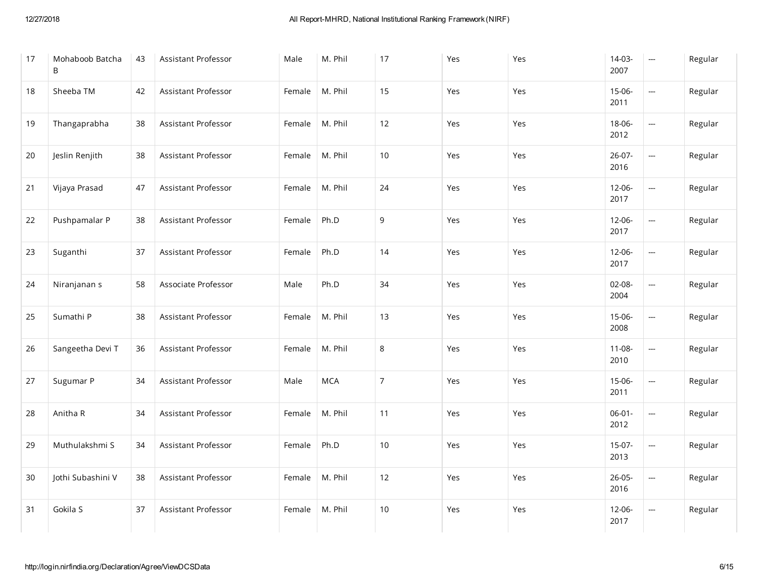| 17 | Mohaboob Batcha<br>B | 43 | Assistant Professor        | Male   | M. Phil    | 17             | Yes | Yes | $14-03-$<br>2007    |                          | Regular |
|----|----------------------|----|----------------------------|--------|------------|----------------|-----|-----|---------------------|--------------------------|---------|
| 18 | Sheeba TM            | 42 | Assistant Professor        | Female | M. Phil    | 15             | Yes | Yes | $15 - 06 -$<br>2011 | $\overline{\phantom{a}}$ | Regular |
| 19 | Thangaprabha         | 38 | Assistant Professor        | Female | M. Phil    | 12             | Yes | Yes | $18 - 06 -$<br>2012 | $\overline{\phantom{a}}$ | Regular |
| 20 | Jeslin Renjith       | 38 | Assistant Professor        | Female | M. Phil    | 10             | Yes | Yes | $26-07-$<br>2016    | $\overline{\phantom{a}}$ | Regular |
| 21 | Vijaya Prasad        | 47 | <b>Assistant Professor</b> | Female | M. Phil    | 24             | Yes | Yes | $12 - 06 -$<br>2017 | $\overline{\phantom{a}}$ | Regular |
| 22 | Pushpamalar P        | 38 | Assistant Professor        | Female | Ph.D       | $\mathsf g$    | Yes | Yes | 12-06-<br>2017      | $\overline{\phantom{a}}$ | Regular |
| 23 | Suganthi             | 37 | Assistant Professor        | Female | Ph.D       | 14             | Yes | Yes | $12 - 06 -$<br>2017 | $\overline{\phantom{a}}$ | Regular |
| 24 | Niranjanan s         | 58 | Associate Professor        | Male   | Ph.D       | 34             | Yes | Yes | $02 - 08 -$<br>2004 | ÷,                       | Regular |
| 25 | Sumathi P            | 38 | Assistant Professor        | Female | M. Phil    | 13             | Yes | Yes | 15-06-<br>2008      | $\overline{\phantom{a}}$ | Regular |
| 26 | Sangeetha Devi T     | 36 | Assistant Professor        | Female | M. Phil    | $\,8\,$        | Yes | Yes | $11 - 08 -$<br>2010 | $\overline{\phantom{a}}$ | Regular |
| 27 | Sugumar P            | 34 | Assistant Professor        | Male   | <b>MCA</b> | $\overline{7}$ | Yes | Yes | 15-06-<br>2011      | $\overline{\phantom{a}}$ | Regular |
| 28 | Anitha R             | 34 | Assistant Professor        | Female | M. Phil    | 11             | Yes | Yes | $06 - 01 -$<br>2012 | $\overline{\phantom{a}}$ | Regular |
| 29 | Muthulakshmi S       | 34 | Assistant Professor        | Female | Ph.D       | $10$           | Yes | Yes | $15-07-$<br>2013    | $\overline{\phantom{m}}$ | Regular |
| 30 | Jothi Subashini V    | 38 | Assistant Professor        | Female | M. Phil    | 12             | Yes | Yes | $26 - 05 -$<br>2016 | $\overline{\phantom{a}}$ | Regular |
| 31 | Gokila S             | 37 | Assistant Professor        | Female | M. Phil    | 10             | Yes | Yes | $12 - 06 -$<br>2017 | $\overline{\phantom{a}}$ | Regular |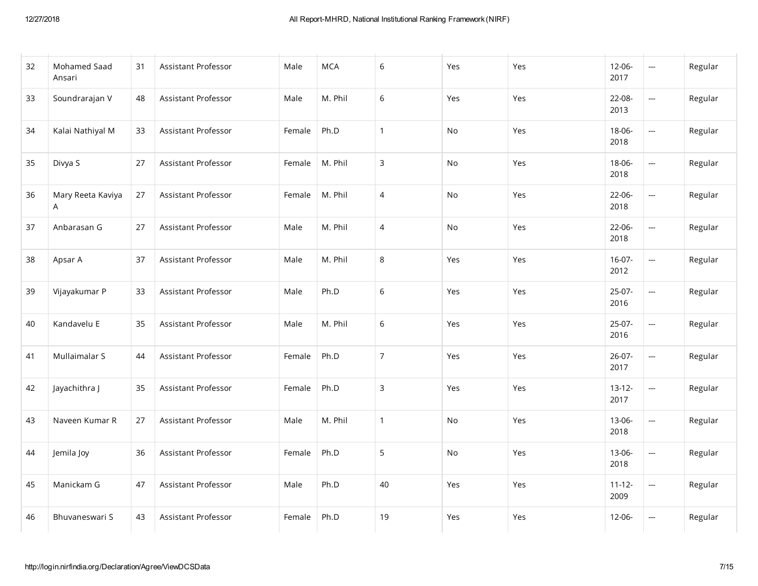| 32 | Mohamed Saad<br>Ansari | 31 | Assistant Professor | Male   | <b>MCA</b> | 6              | Yes | Yes | $12 - 06 -$<br>2017 | <u></u>                  | Regular |
|----|------------------------|----|---------------------|--------|------------|----------------|-----|-----|---------------------|--------------------------|---------|
| 33 | Soundrarajan V         | 48 | Assistant Professor | Male   | M. Phil    | 6              | Yes | Yes | 22-08-<br>2013      | $\overline{\phantom{a}}$ | Regular |
| 34 | Kalai Nathiyal M       | 33 | Assistant Professor | Female | Ph.D       | $\mathbf{1}$   | No  | Yes | 18-06-<br>2018      | <u></u>                  | Regular |
| 35 | Divya S                | 27 | Assistant Professor | Female | M. Phil    | 3              | No  | Yes | 18-06-<br>2018      | $\overline{\phantom{a}}$ | Regular |
| 36 | Mary Reeta Kaviya<br>A | 27 | Assistant Professor | Female | M. Phil    | $\overline{4}$ | No  | Yes | $22-06-$<br>2018    | ---                      | Regular |
| 37 | Anbarasan G            | 27 | Assistant Professor | Male   | M. Phil    | $\overline{4}$ | No  | Yes | $22-06-$<br>2018    | $\overline{\phantom{a}}$ | Regular |
| 38 | Apsar A                | 37 | Assistant Professor | Male   | M. Phil    | 8              | Yes | Yes | $16-07-$<br>2012    | ---                      | Regular |
| 39 | Vijayakumar P          | 33 | Assistant Professor | Male   | Ph.D       | 6              | Yes | Yes | 25-07-<br>2016      | $\overline{\phantom{a}}$ | Regular |
| 40 | Kandavelu E            | 35 | Assistant Professor | Male   | M. Phil    | 6              | Yes | Yes | 25-07-<br>2016      | ---                      | Regular |
| 41 | Mullaimalar S          | 44 | Assistant Professor | Female | Ph.D       | $\overline{7}$ | Yes | Yes | 26-07-<br>2017      | ---                      | Regular |
| 42 | Jayachithra J          | 35 | Assistant Professor | Female | Ph.D       | 3              | Yes | Yes | $13-12-$<br>2017    | ---                      | Regular |
| 43 | Naveen Kumar R         | 27 | Assistant Professor | Male   | M. Phil    | $\mathbf{1}$   | No  | Yes | 13-06-<br>2018      | ---                      | Regular |
| 44 | Jemila Joy             | 36 | Assistant Professor | Female | Ph.D       | 5              | No  | Yes | 13-06-<br>2018      | $\overline{\phantom{a}}$ | Regular |
| 45 | Manickam G             | 47 | Assistant Professor | Male   | Ph.D       | 40             | Yes | Yes | $11 - 12 -$<br>2009 | $\overline{\phantom{a}}$ | Regular |
| 46 | Bhuvaneswari S         | 43 | Assistant Professor | Female | Ph.D       | 19             | Yes | Yes | $12 - 06 -$         | $\overline{\phantom{a}}$ | Regular |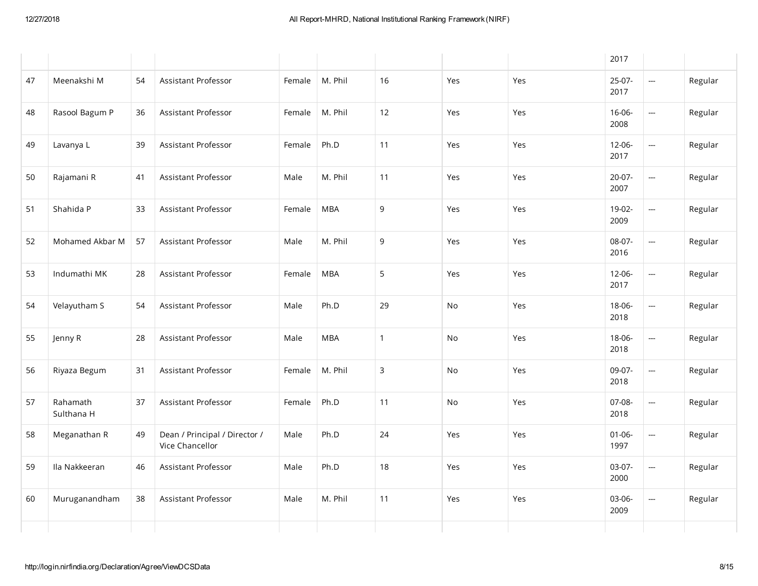|    |                        |    |                                                  |        |            |              |     |     | 2017                |                          |         |
|----|------------------------|----|--------------------------------------------------|--------|------------|--------------|-----|-----|---------------------|--------------------------|---------|
| 47 | Meenakshi M            | 54 | Assistant Professor                              | Female | M. Phil    | 16           | Yes | Yes | $25-07-$<br>2017    | $\overline{\phantom{a}}$ | Regular |
| 48 | Rasool Bagum P         | 36 | Assistant Professor                              | Female | M. Phil    | 12           | Yes | Yes | $16 - 06 -$<br>2008 | $\overline{\phantom{a}}$ | Regular |
| 49 | Lavanya L              | 39 | Assistant Professor                              | Female | Ph.D       | 11           | Yes | Yes | $12 - 06 -$<br>2017 | $\overline{\phantom{a}}$ | Regular |
| 50 | Rajamani R             | 41 | Assistant Professor                              | Male   | M. Phil    | 11           | Yes | Yes | $20-07-$<br>2007    | $\overline{\phantom{a}}$ | Regular |
| 51 | Shahida P              | 33 | Assistant Professor                              | Female | <b>MBA</b> | 9            | Yes | Yes | 19-02-<br>2009      | <u></u>                  | Regular |
| 52 | Mohamed Akbar M        | 57 | Assistant Professor                              | Male   | M. Phil    | 9            | Yes | Yes | 08-07-<br>2016      | $\overline{\phantom{a}}$ | Regular |
| 53 | Indumathi MK           | 28 | <b>Assistant Professor</b>                       | Female | <b>MBA</b> | 5            | Yes | Yes | $12 - 06 -$<br>2017 | $\overline{\phantom{a}}$ | Regular |
| 54 | Velayutham S           | 54 | <b>Assistant Professor</b>                       | Male   | Ph.D       | 29           | No  | Yes | $18 - 06 -$<br>2018 | $\overline{\phantom{a}}$ | Regular |
| 55 | Jenny R                | 28 | Assistant Professor                              | Male   | <b>MBA</b> | $\mathbf{1}$ | No  | Yes | $18 - 06 -$<br>2018 | $\overline{\phantom{a}}$ | Regular |
| 56 | Riyaza Begum           | 31 | Assistant Professor                              | Female | M. Phil    | 3            | No  | Yes | 09-07-<br>2018      | $\overline{\phantom{a}}$ | Regular |
| 57 | Rahamath<br>Sulthana H | 37 | Assistant Professor                              | Female | Ph.D       | 11           | No  | Yes | 07-08-<br>2018      | $\overline{\phantom{a}}$ | Regular |
| 58 | Meganathan R           | 49 | Dean / Principal / Director /<br>Vice Chancellor | Male   | Ph.D       | 24           | Yes | Yes | $01 - 06 -$<br>1997 | $\overline{\phantom{a}}$ | Regular |
| 59 | Ila Nakkeeran          | 46 | Assistant Professor                              | Male   | Ph.D       | 18           | Yes | Yes | 03-07-<br>2000      | $\overline{\phantom{a}}$ | Regular |
| 60 | Muruganandham          | 38 | Assistant Professor                              | Male   | M. Phil    | 11           | Yes | Yes | 03-06-<br>2009      | $\overline{\phantom{a}}$ | Regular |
|    |                        |    |                                                  |        |            |              |     |     |                     |                          |         |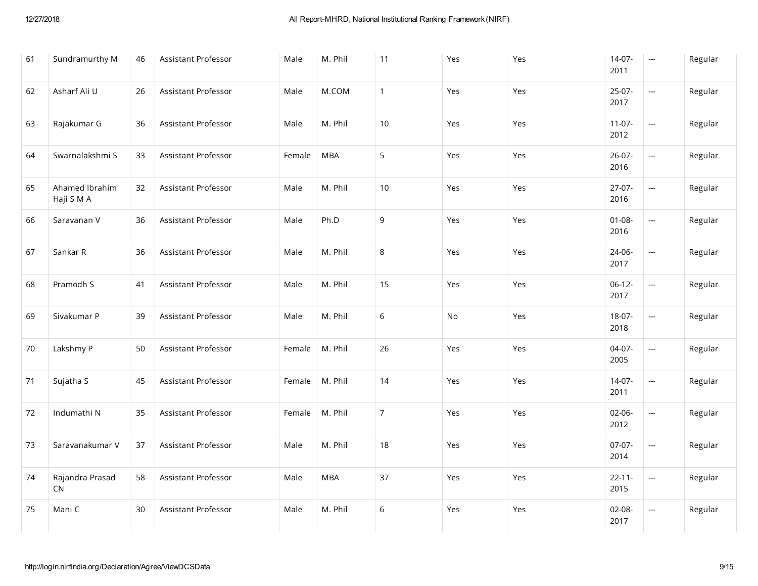| 61 | Sundramurthy M               | 46 | Assistant Professor | Male   | M. Phil    | 11             | Yes | Yes | $14-07-$<br>2011    |                          | Regular |
|----|------------------------------|----|---------------------|--------|------------|----------------|-----|-----|---------------------|--------------------------|---------|
| 62 | Asharf Ali U                 | 26 | Assistant Professor | Male   | M.COM      | $\mathbf{1}$   | Yes | Yes | $25-07-$<br>2017    | $\overline{\phantom{a}}$ | Regular |
| 63 | Rajakumar G                  | 36 | Assistant Professor | Male   | M. Phil    | 10             | Yes | Yes | $11-07-$<br>2012    | $\overline{\phantom{a}}$ | Regular |
| 64 | Swarnalakshmi S              | 33 | Assistant Professor | Female | <b>MBA</b> | 5              | Yes | Yes | 26-07-<br>2016      | $\overline{\phantom{a}}$ | Regular |
| 65 | Ahamed Ibrahim<br>Haji S M A | 32 | Assistant Professor | Male   | M. Phil    | $10$           | Yes | Yes | $27-07-$<br>2016    | $\overline{a}$           | Regular |
| 66 | Saravanan V                  | 36 | Assistant Professor | Male   | Ph.D       | 9              | Yes | Yes | $01 - 08 -$<br>2016 | $\overline{\phantom{a}}$ | Regular |
| 67 | Sankar R                     | 36 | Assistant Professor | Male   | M. Phil    | 8              | Yes | Yes | 24-06-<br>2017      | $\overline{\phantom{a}}$ | Regular |
| 68 | Pramodh S                    | 41 | Assistant Professor | Male   | M. Phil    | 15             | Yes | Yes | $06-12-$<br>2017    | <u></u>                  | Regular |
| 69 | Sivakumar P                  | 39 | Assistant Professor | Male   | M. Phil    | $6\,$          | No  | Yes | $18-07-$<br>2018    | $\overline{\phantom{a}}$ | Regular |
| 70 | Lakshmy P                    | 50 | Assistant Professor | Female | M. Phil    | 26             | Yes | Yes | $04-07-$<br>2005    |                          | Regular |
| 71 | Sujatha S                    | 45 | Assistant Professor | Female | M. Phil    | 14             | Yes | Yes | $14-07-$<br>2011    | <u></u>                  | Regular |
| 72 | Indumathi N                  | 35 | Assistant Professor | Female | M. Phil    | $\overline{7}$ | Yes | Yes | $02 - 06 -$<br>2012 | <u></u>                  | Regular |
| 73 | Saravanakumar V              | 37 | Assistant Professor | Male   | M. Phil    | 18             | Yes | Yes | 07-07-<br>2014      | $\overline{\phantom{a}}$ | Regular |
| 74 | Rajandra Prasad<br>CN        | 58 | Assistant Professor | Male   | <b>MBA</b> | 37             | Yes | Yes | $22 - 11 -$<br>2015 | <u></u>                  | Regular |
| 75 | Mani C                       | 30 | Assistant Professor | Male   | M. Phil    | $6\,$          | Yes | Yes | 02-08-<br>2017      | $\overline{\phantom{a}}$ | Regular |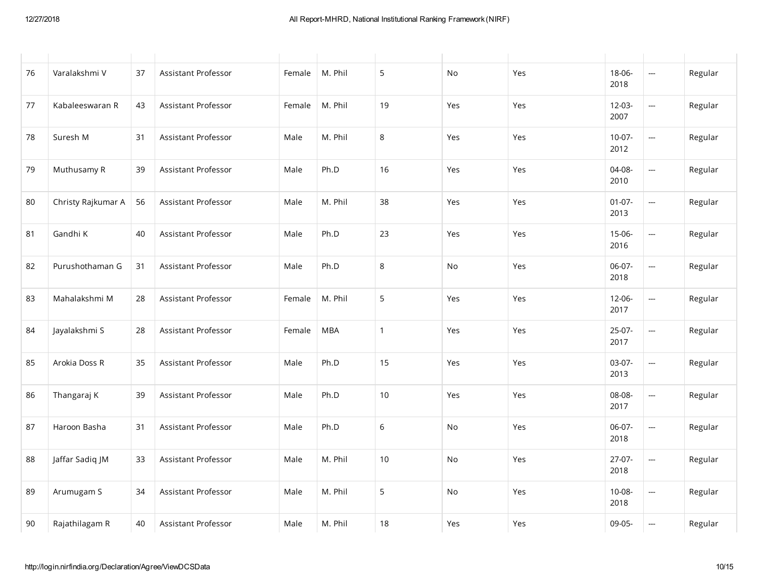| 76 | Varalakshmi V      | 37 | Assistant Professor | Female | M. Phil    | 5            | No  | Yes | 18-06-<br>2018      | $\hspace{0.05cm}$        | Regular |
|----|--------------------|----|---------------------|--------|------------|--------------|-----|-----|---------------------|--------------------------|---------|
| 77 | Kabaleeswaran R    | 43 | Assistant Professor | Female | M. Phil    | 19           | Yes | Yes | $12 - 03 -$<br>2007 | $\overline{\phantom{a}}$ | Regular |
| 78 | Suresh M           | 31 | Assistant Professor | Male   | M. Phil    | 8            | Yes | Yes | $10-07 -$<br>2012   | $\hspace{0.05cm}$        | Regular |
| 79 | Muthusamy R        | 39 | Assistant Professor | Male   | Ph.D       | 16           | Yes | Yes | 04-08-<br>2010      | $\hspace{0.05cm}$        | Regular |
| 80 | Christy Rajkumar A | 56 | Assistant Professor | Male   | M. Phil    | 38           | Yes | Yes | $01 - 07 -$<br>2013 | $\overline{\phantom{m}}$ | Regular |
| 81 | Gandhi K           | 40 | Assistant Professor | Male   | Ph.D       | 23           | Yes | Yes | $15 - 06 -$<br>2016 | $\overline{\phantom{a}}$ | Regular |
| 82 | Purushothaman G    | 31 | Assistant Professor | Male   | Ph.D       | 8            | No  | Yes | 06-07-<br>2018      | $\overline{\phantom{a}}$ | Regular |
| 83 | Mahalakshmi M      | 28 | Assistant Professor | Female | M. Phil    | 5            | Yes | Yes | $12 - 06 -$<br>2017 | $\overline{\phantom{a}}$ | Regular |
| 84 | Jayalakshmi S      | 28 | Assistant Professor | Female | <b>MBA</b> | $\mathbf{1}$ | Yes | Yes | $25-07-$<br>2017    | $\overline{\phantom{m}}$ | Regular |
| 85 | Arokia Doss R      | 35 | Assistant Professor | Male   | Ph.D       | 15           | Yes | Yes | 03-07-<br>2013      | $\overline{\phantom{m}}$ | Regular |
| 86 | Thangaraj K        | 39 | Assistant Professor | Male   | Ph.D       | 10           | Yes | Yes | 08-08-<br>2017      | $\overline{\phantom{m}}$ | Regular |
| 87 | Haroon Basha       | 31 | Assistant Professor | Male   | Ph.D       | 6            | No  | Yes | 06-07-<br>2018      | $\overline{\phantom{m}}$ | Regular |
| 88 | Jaffar Sadiq JM    | 33 | Assistant Professor | Male   | M. Phil    | 10           | No  | Yes | $27-07-$<br>2018    | $\overline{\phantom{m}}$ | Regular |
| 89 | Arumugam S         | 34 | Assistant Professor | Male   | M. Phil    | 5            | No  | Yes | $10 - 08 -$<br>2018 | $\overline{\phantom{a}}$ | Regular |
| 90 | Rajathilagam R     | 40 | Assistant Professor | Male   | M. Phil    | 18           | Yes | Yes | 09-05-              | $\hspace{0.05cm}$        | Regular |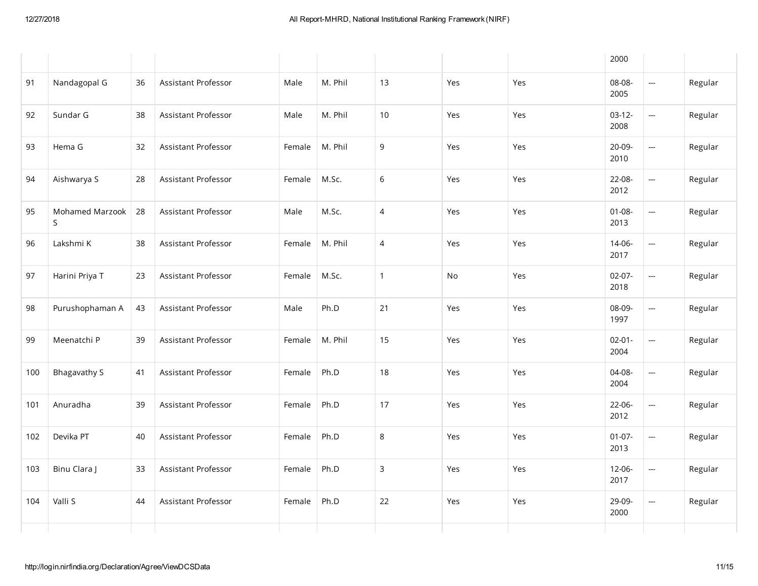|     |                      |    |                     |        |         |                |     |     | 2000                |                          |         |
|-----|----------------------|----|---------------------|--------|---------|----------------|-----|-----|---------------------|--------------------------|---------|
| 91  | Nandagopal G         | 36 | Assistant Professor | Male   | M. Phil | 13             | Yes | Yes | 08-08-<br>2005      | $\overline{\phantom{a}}$ | Regular |
| 92  | Sundar G             | 38 | Assistant Professor | Male   | M. Phil | 10             | Yes | Yes | $03-12-$<br>2008    | $\overline{\phantom{a}}$ | Regular |
| 93  | Hema G               | 32 | Assistant Professor | Female | M. Phil | 9              | Yes | Yes | 20-09-<br>2010      | $\overline{\phantom{a}}$ | Regular |
| 94  | Aishwarya S          | 28 | Assistant Professor | Female | M.Sc.   | $\,$ 6 $\,$    | Yes | Yes | 22-08-<br>2012      | $\overline{\phantom{a}}$ | Regular |
| 95  | Mohamed Marzook<br>S | 28 | Assistant Professor | Male   | M.Sc.   | $\overline{4}$ | Yes | Yes | $01 - 08 -$<br>2013 | $\overline{\phantom{a}}$ | Regular |
| 96  | Lakshmi K            | 38 | Assistant Professor | Female | M. Phil | $\overline{4}$ | Yes | Yes | 14-06-<br>2017      | $\overline{\phantom{a}}$ | Regular |
| 97  | Harini Priya T       | 23 | Assistant Professor | Female | M.Sc.   | $\mathbf{1}$   | No  | Yes | $02 - 07 -$<br>2018 | $\overline{\phantom{a}}$ | Regular |
| 98  | Purushophaman A      | 43 | Assistant Professor | Male   | Ph.D    | 21             | Yes | Yes | 08-09-<br>1997      | $\overline{\phantom{a}}$ | Regular |
| 99  | Meenatchi P          | 39 | Assistant Professor | Female | M. Phil | 15             | Yes | Yes | $02 - 01 -$<br>2004 | $\overline{\phantom{a}}$ | Regular |
| 100 | <b>Bhagavathy S</b>  | 41 | Assistant Professor | Female | Ph.D    | 18             | Yes | Yes | 04-08-<br>2004      | $\overline{\phantom{a}}$ | Regular |
| 101 | Anuradha             | 39 | Assistant Professor | Female | Ph.D    | 17             | Yes | Yes | 22-06-<br>2012      | $\overline{\phantom{a}}$ | Regular |
| 102 | Devika PT            | 40 | Assistant Professor | Female | Ph.D    | $\,8\,$        | Yes | Yes | $01 - 07 -$<br>2013 | $\overline{\phantom{a}}$ | Regular |
| 103 | Binu Clara J         | 33 | Assistant Professor | Female | Ph.D    | $\mathsf{3}$   | Yes | Yes | $12 - 06 -$<br>2017 | $\overline{\phantom{m}}$ | Regular |
| 104 | Valli S              | 44 | Assistant Professor | Female | Ph.D    | 22             | Yes | Yes | 29-09-<br>2000      | $\sim$                   | Regular |
|     |                      |    |                     |        |         |                |     |     |                     |                          |         |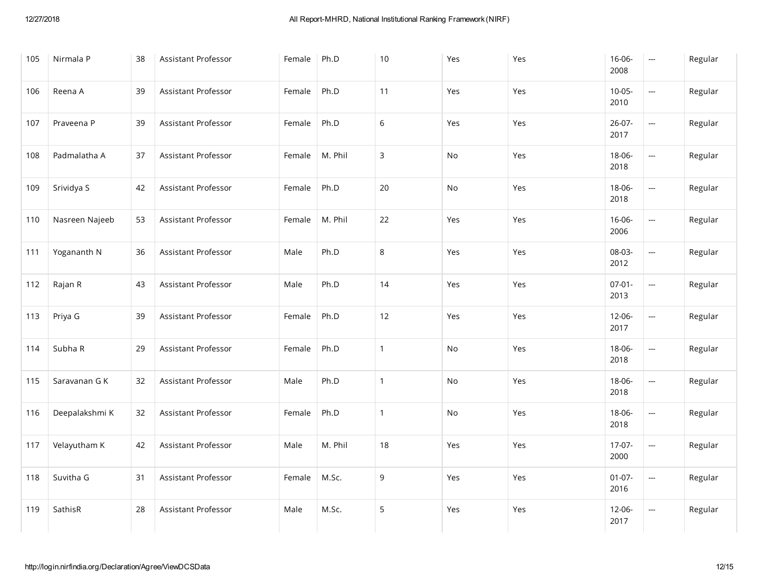| 105 | Nirmala P      | 38 | Assistant Professor | Female | Ph.D    | 10           | Yes | Yes | 16-06-<br>2008      | $\overline{\phantom{a}}$ | Regular |
|-----|----------------|----|---------------------|--------|---------|--------------|-----|-----|---------------------|--------------------------|---------|
| 106 | Reena A        | 39 | Assistant Professor | Female | Ph.D    | 11           | Yes | Yes | $10 - 05 -$<br>2010 | $\overline{\phantom{a}}$ | Regular |
| 107 | Praveena P     | 39 | Assistant Professor | Female | Ph.D    | $6\,$        | Yes | Yes | $26 - 07 -$<br>2017 | $\overline{\phantom{m}}$ | Regular |
| 108 | Padmalatha A   | 37 | Assistant Professor | Female | M. Phil | 3            | No  | Yes | 18-06-<br>2018      | --                       | Regular |
| 109 | Srividya S     | 42 | Assistant Professor | Female | Ph.D    | 20           | No  | Yes | 18-06-<br>2018      | $\overline{\phantom{m}}$ | Regular |
| 110 | Nasreen Najeeb | 53 | Assistant Professor | Female | M. Phil | 22           | Yes | Yes | 16-06-<br>2006      | ---                      | Regular |
| 111 | Yogananth N    | 36 | Assistant Professor | Male   | Ph.D    | 8            | Yes | Yes | 08-03-<br>2012      | $\overline{\phantom{a}}$ | Regular |
| 112 | Rajan R        | 43 | Assistant Professor | Male   | Ph.D    | 14           | Yes | Yes | $07 - 01 -$<br>2013 | ---                      | Regular |
| 113 | Priya G        | 39 | Assistant Professor | Female | Ph.D    | 12           | Yes | Yes | $12 - 06 -$<br>2017 | ---                      | Regular |
| 114 | Subha R        | 29 | Assistant Professor | Female | Ph.D    | $\mathbf{1}$ | No  | Yes | 18-06-<br>2018      | ---                      | Regular |
| 115 | Saravanan G K  | 32 | Assistant Professor | Male   | Ph.D    | $\mathbf{1}$ | No  | Yes | 18-06-<br>2018      | ---                      | Regular |
| 116 | Deepalakshmi K | 32 | Assistant Professor | Female | Ph.D    | $\mathbf{1}$ | No  | Yes | 18-06-<br>2018      | ---                      | Regular |
| 117 | Velayutham K   | 42 | Assistant Professor | Male   | M. Phil | 18           | Yes | Yes | 17-07-<br>2000      | $\overline{\phantom{a}}$ | Regular |
| 118 | Suvitha G      | 31 | Assistant Professor | Female | M.Sc.   | 9            | Yes | Yes | $01-07-$<br>2016    | ---                      | Regular |
| 119 | SathisR        | 28 | Assistant Professor | Male   | M.Sc.   | 5            | Yes | Yes | $12 - 06 -$<br>2017 | $\frac{1}{2}$            | Regular |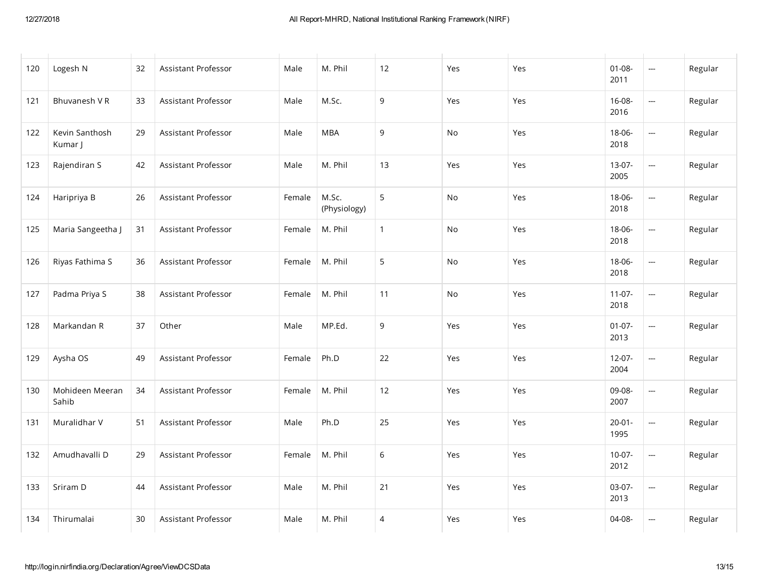| 120 | Logesh N                  | 32 | Assistant Professor        | Male   | M. Phil               | 12           | Yes | Yes | $01-08-$<br>2011    | $\frac{1}{2}$            | Regular |
|-----|---------------------------|----|----------------------------|--------|-----------------------|--------------|-----|-----|---------------------|--------------------------|---------|
| 121 | Bhuvanesh V R             | 33 | Assistant Professor        | Male   | M.Sc.                 | 9            | Yes | Yes | 16-08-<br>2016      | $\overline{\phantom{a}}$ | Regular |
| 122 | Kevin Santhosh<br>Kumar J | 29 | Assistant Professor        | Male   | <b>MBA</b>            | 9            | No  | Yes | 18-06-<br>2018      | <u></u>                  | Regular |
| 123 | Rajendiran S              | 42 | Assistant Professor        | Male   | M. Phil               | 13           | Yes | Yes | $13-07-$<br>2005    | $\overline{\phantom{a}}$ | Regular |
| 124 | Haripriya B               | 26 | Assistant Professor        | Female | M.Sc.<br>(Physiology) | 5            | No  | Yes | 18-06-<br>2018      | $\overline{\phantom{a}}$ | Regular |
| 125 | Maria Sangeetha J         | 31 | Assistant Professor        | Female | M. Phil               | $\mathbf{1}$ | No  | Yes | 18-06-<br>2018      | $\overline{\phantom{a}}$ | Regular |
| 126 | Riyas Fathima S           | 36 | Assistant Professor        | Female | M. Phil               | 5            | No  | Yes | 18-06-<br>2018      | $\overline{\phantom{a}}$ | Regular |
| 127 | Padma Priya S             | 38 | Assistant Professor        | Female | M. Phil               | 11           | No  | Yes | $11-07-$<br>2018    | $\overline{\phantom{a}}$ | Regular |
| 128 | Markandan R               | 37 | Other                      | Male   | MP.Ed.                | 9            | Yes | Yes | $01-07-$<br>2013    | $\overline{\phantom{a}}$ | Regular |
| 129 | Aysha OS                  | 49 | Assistant Professor        | Female | Ph.D                  | 22           | Yes | Yes | $12-07-$<br>2004    |                          | Regular |
| 130 | Mohideen Meeran<br>Sahib  | 34 | Assistant Professor        | Female | M. Phil               | 12           | Yes | Yes | 09-08-<br>2007      | $\overline{\phantom{a}}$ | Regular |
| 131 | Muralidhar V              | 51 | <b>Assistant Professor</b> | Male   | Ph.D                  | 25           | Yes | Yes | $20 - 01 -$<br>1995 | $\overline{\phantom{a}}$ | Regular |
| 132 | Amudhavalli D             | 29 | Assistant Professor        | Female | M. Phil               | $\,$ 6 $\,$  | Yes | Yes | $10-07 -$<br>2012   | $\overline{\phantom{a}}$ | Regular |
| 133 | Sriram D                  | 44 | Assistant Professor        | Male   | M. Phil               | 21           | Yes | Yes | 03-07-<br>2013      | $\overline{\phantom{a}}$ | Regular |
| 134 | Thirumalai                | 30 | Assistant Professor        | Male   | M. Phil               | 4            | Yes | Yes | $04-08-$            | $\overline{\phantom{a}}$ | Regular |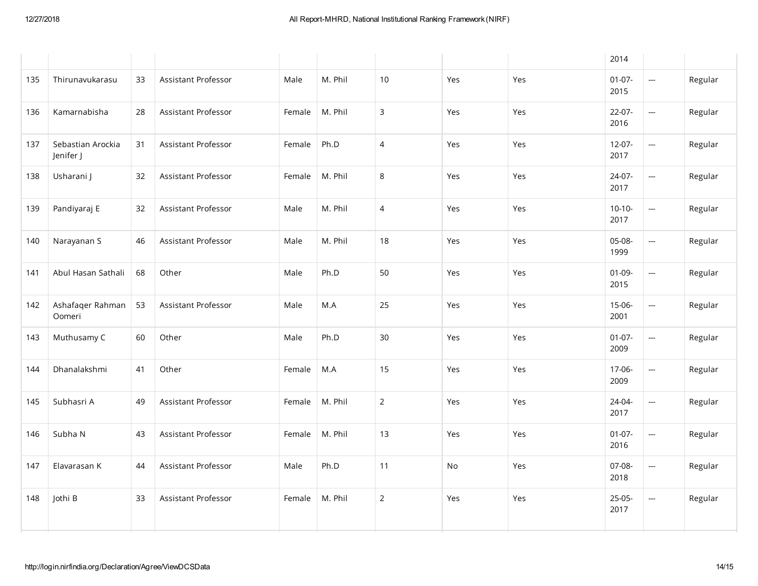|     |                                |    |                            |        |         |                |     |     | 2014                |                          |         |
|-----|--------------------------------|----|----------------------------|--------|---------|----------------|-----|-----|---------------------|--------------------------|---------|
| 135 | Thirunavukarasu                | 33 | Assistant Professor        | Male   | M. Phil | 10             | Yes | Yes | $01-07-$<br>2015    | ---                      | Regular |
| 136 | Kamarnabisha                   | 28 | Assistant Professor        | Female | M. Phil | $\mathsf 3$    | Yes | Yes | 22-07-<br>2016      | $\overline{\phantom{a}}$ | Regular |
| 137 | Sebastian Arockia<br>Jenifer J | 31 | Assistant Professor        | Female | Ph.D    | $\overline{4}$ | Yes | Yes | $12 - 07 -$<br>2017 | $\overline{\phantom{a}}$ | Regular |
| 138 | Usharani J                     | 32 | Assistant Professor        | Female | M. Phil | 8              | Yes | Yes | 24-07-<br>2017      | $\overline{\phantom{a}}$ | Regular |
| 139 | Pandiyaraj E                   | 32 | <b>Assistant Professor</b> | Male   | M. Phil | $\overline{4}$ | Yes | Yes | $10-10-$<br>2017    | $\overline{\phantom{a}}$ | Regular |
| 140 | Narayanan S                    | 46 | Assistant Professor        | Male   | M. Phil | 18             | Yes | Yes | 05-08-<br>1999      | $\overline{\phantom{a}}$ | Regular |
| 141 | Abul Hasan Sathali             | 68 | Other                      | Male   | Ph.D    | 50             | Yes | Yes | $01 - 09 -$<br>2015 | $\overline{\phantom{m}}$ | Regular |
| 142 | Ashafaqer Rahman<br>Oomeri     | 53 | Assistant Professor        | Male   | M.A     | 25             | Yes | Yes | 15-06-<br>2001      | $\overline{\phantom{a}}$ | Regular |
| 143 | Muthusamy C                    | 60 | Other                      | Male   | Ph.D    | 30             | Yes | Yes | $01-07-$<br>2009    | $\overline{\phantom{a}}$ | Regular |
| 144 | Dhanalakshmi                   | 41 | Other                      | Female | M.A     | 15             | Yes | Yes | 17-06-<br>2009      | $\overline{\phantom{a}}$ | Regular |
| 145 | Subhasri A                     | 49 | Assistant Professor        | Female | M. Phil | $\sqrt{2}$     | Yes | Yes | 24-04-<br>2017      | <u></u>                  | Regular |
| 146 | Subha N                        | 43 | Assistant Professor        | Female | M. Phil | 13             | Yes | Yes | $01-07-$<br>2016    | $\overline{\phantom{a}}$ | Regular |
| 147 | Elavarasan K                   | 44 | Assistant Professor        | Male   | Ph.D    | 11             | No  | Yes | 07-08-<br>2018      | $\overline{\phantom{a}}$ | Regular |
| 148 | Jothi B                        | 33 | Assistant Professor        | Female | M. Phil | $\overline{2}$ | Yes | Yes | $25 - 05 -$<br>2017 | $\hspace{0.05cm}$        | Regular |
|     |                                |    |                            |        |         |                |     |     |                     |                          |         |